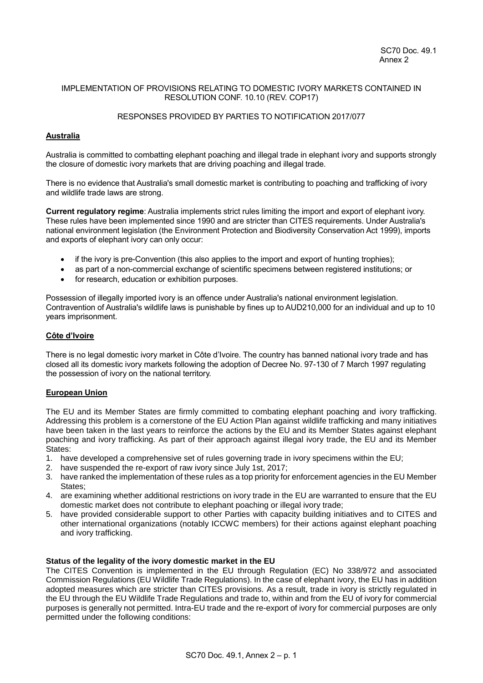## IMPLEMENTATION OF PROVISIONS RELATING TO DOMESTIC IVORY MARKETS CONTAINED IN RESOLUTION CONF. 10.10 (REV. COP17)

## RESPONSES PROVIDED BY PARTIES TO NOTIFICATION 2017/077

## **Australia**

Australia is committed to combatting elephant poaching and illegal trade in elephant ivory and supports strongly the closure of domestic ivory markets that are driving poaching and illegal trade.

There is no evidence that Australia's small domestic market is contributing to poaching and trafficking of ivory and wildlife trade laws are strong.

**Current regulatory regime**: Australia implements strict rules limiting the import and export of elephant ivory. These rules have been implemented since 1990 and are stricter than CITES requirements. Under Australia's national environment legislation (the Environment Protection and Biodiversity Conservation Act 1999), imports and exports of elephant ivory can only occur:

- if the ivory is pre-Convention (this also applies to the import and export of hunting trophies);
- as part of a non-commercial exchange of scientific specimens between registered institutions; or
- for research, education or exhibition purposes.

Possession of illegally imported ivory is an offence under Australia's national environment legislation. Contravention of Australia's wildlife laws is punishable by fines up to AUD210,000 for an individual and up to 10 years imprisonment.

#### **Côte d'Ivoire**

There is no legal domestic ivory market in Côte d'Ivoire. The country has banned national ivory trade and has closed all its domestic ivory markets following the adoption of Decree No. 97-130 of 7 March 1997 regulating the possession of ivory on the national territory.

#### **European Union**

The EU and its Member States are firmly committed to combating elephant poaching and ivory trafficking. Addressing this problem is a cornerstone of the EU Action Plan against wildlife trafficking and many initiatives have been taken in the last years to reinforce the actions by the EU and its Member States against elephant poaching and ivory trafficking. As part of their approach against illegal ivory trade, the EU and its Member States:

- 1. have developed a comprehensive set of rules governing trade in ivory specimens within the EU;
- 2. have suspended the re-export of raw ivory since July 1st, 2017;
- 3. have ranked the implementation of these rules as a top priority for enforcement agencies in the EU Member States;
- 4. are examining whether additional restrictions on ivory trade in the EU are warranted to ensure that the EU domestic market does not contribute to elephant poaching or illegal ivory trade;
- 5. have provided considerable support to other Parties with capacity building initiatives and to CITES and other international organizations (notably ICCWC members) for their actions against elephant poaching and ivory trafficking.

#### **Status of the legality of the ivory domestic market in the EU**

The CITES Convention is implemented in the EU through Regulation (EC) No 338/972 and associated Commission Regulations (EU Wildlife Trade Regulations). In the case of elephant ivory, the EU has in addition adopted measures which are stricter than CITES provisions. As a result, trade in ivory is strictly regulated in the EU through the EU Wildlife Trade Regulations and trade to, within and from the EU of ivory for commercial purposes is generally not permitted. Intra-EU trade and the re-export of ivory for commercial purposes are only permitted under the following conditions: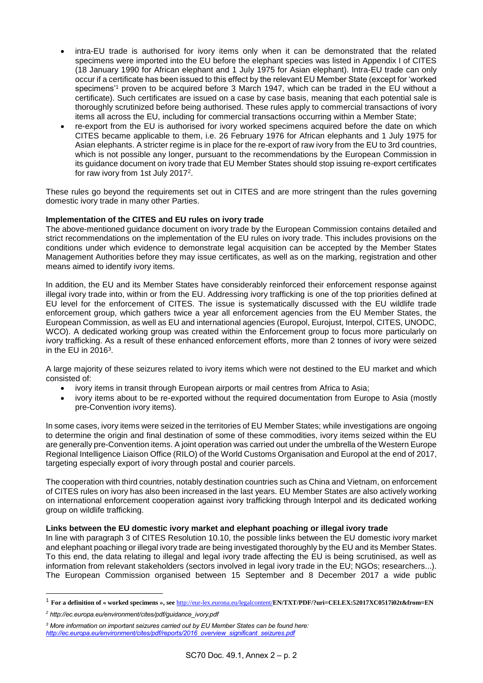- intra-EU trade is authorised for ivory items only when it can be demonstrated that the related specimens were imported into the EU before the elephant species was listed in Appendix I of CITES (18 January 1990 for African elephant and 1 July 1975 for Asian elephant). Intra-EU trade can only occur if a certificate has been issued to this effect by the relevant EU Member State (except for 'worked specimens<sup>1</sup> proven to be acquired before 3 March 1947, which can be traded in the EU without a certificate). Such certificates are issued on a case by case basis, meaning that each potential sale is thoroughly scrutinized before being authorised. These rules apply to commercial transactions of ivory items all across the EU, including for commercial transactions occurring within a Member State;
- re-export from the EU is authorised for ivory worked specimens acquired before the date on which CITES became applicable to them, i.e. 26 February 1976 for African elephants and 1 July 1975 for Asian elephants. A stricter regime is in place for the re-export of raw ivory from the EU to 3rd countries, which is not possible any longer, pursuant to the recommendations by the European Commission in its guidance document on ivory trade that EU Member States should stop issuing re-export certificates for raw ivory from 1st July 2017<sup>2</sup> .

These rules go beyond the requirements set out in CITES and are more stringent than the rules governing domestic ivory trade in many other Parties.

## **Implementation of the CITES and EU rules on ivory trade**

The above-mentioned guidance document on ivory trade by the European Commission contains detailed and strict recommendations on the implementation of the EU rules on ivory trade. This includes provisions on the conditions under which evidence to demonstrate legal acquisition can be accepted by the Member States Management Authorities before they may issue certificates, as well as on the marking, registration and other means aimed to identify ivory items.

In addition, the EU and its Member States have considerably reinforced their enforcement response against illegal ivory trade into, within or from the EU. Addressing ivory trafficking is one of the top priorities defined at EU level for the enforcement of CITES. The issue is systematically discussed with the EU wildlife trade enforcement group, which gathers twice a year all enforcement agencies from the EU Member States, the European Commission, as well as EU and international agencies (Europol, Eurojust, Interpol, CITES, UNODC, WCO). A dedicated working group was created within the Enforcement group to focus more particularly on ivory trafficking. As a result of these enhanced enforcement efforts, more than 2 tonnes of ivory were seized in the EU in 2016 $3$ .

A large majority of these seizures related to ivory items which were not destined to the EU market and which consisted of:

- ivory items in transit through European airports or mail centres from Africa to Asia;
- ivory items about to be re-exported without the required documentation from Europe to Asia (mostly pre-Convention ivory items).

In some cases, ivory items were seized in the territories of EU Member States; while investigations are ongoing to determine the origin and final destination of some of these commodities, ivory items seized within the EU are generally pre-Convention items. A joint operation was carried out under the umbrella of the Western Europe Regional Intelligence Liaison Office (RILO) of the World Customs Organisation and Europol at the end of 2017, targeting especially export of ivory through postal and courier parcels.

The cooperation with third countries, notably destination countries such as China and Vietnam, on enforcement of CITES rules on ivory has also been increased in the last years. EU Member States are also actively working on international enforcement cooperation against ivory trafficking through Interpol and its dedicated working group on wildlife trafficking.

### **Links between the EU domestic ivory market and elephant poaching or illegal ivory trade**

In line with paragraph 3 of CITES Resolution 10.10, the possible links between the EU domestic ivory market and elephant poaching or illegal ivory trade are being investigated thoroughly by the EU and its Member States. To this end, the data relating to illegal and legal ivory trade affecting the EU is being scrutinised, as well as information from relevant stakeholders (sectors involved in legal ivory trade in the EU; NGOs; researchers...). The European Commission organised between 15 September and 8 December 2017 a wide public

1

<sup>1</sup> **For a definition of « worked specimens », see** <http://eur-lex.eurona.eu/legalcontent/>**EN/TXT/PDF/?uri=CELEX:52017XC0517i02t&from=EN**

*<sup>2</sup> http://ec.europa.eu/environment/cites/pdf/guidance\_ivory.pdf*

*<sup>3</sup> More information on important seizures carried out by EU Member States can be found here: [http://ec.europa.eu/environment/cites/pdf/reports/2016\\_overview\\_significant\\_seizures.pdf](http://ec.europa.eu/environment/cites/pdf/reports/2016_overview_significant_seizures.pdf)*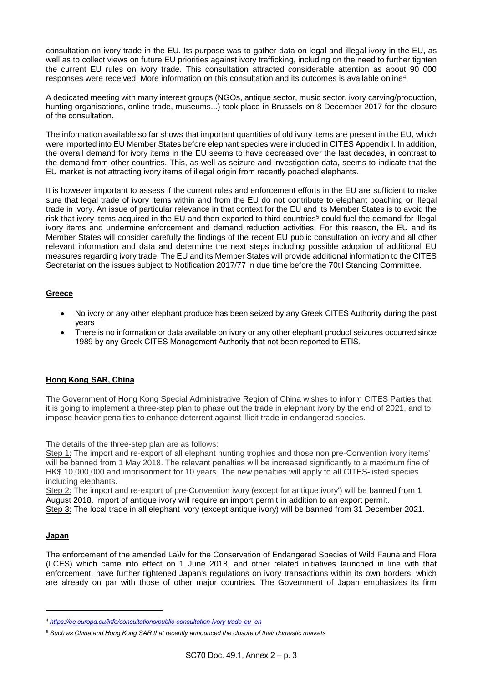consultation on ivory trade in the EU. Its purpose was to gather data on legal and illegal ivory in the EU, as well as to collect views on future EU priorities against ivory trafficking, including on the need to further tighten the current EU rules on ivory trade. This consultation attracted considerable attention as about 90 000 responses were received. More information on this consultation and its outcomes is available online<sup>4</sup> .

A dedicated meeting with many interest groups (NGOs, antique sector, music sector, ivory carving/production, hunting organisations, online trade, museums...) took place in Brussels on 8 December 2017 for the closure of the consultation.

The information available so far shows that important quantities of old ivory items are present in the EU, which were imported into EU Member States before elephant species were included in CITES Appendix I. In addition, the overall demand for ivory items in the EU seems to have decreased over the last decades, in contrast to the demand from other countries. This, as well as seizure and investigation data, seems to indicate that the EU market is not attracting ivory items of illegal origin from recently poached elephants.

It is however important to assess if the current rules and enforcement efforts in the EU are sufficient to make sure that legal trade of ivory items within and from the EU do not contribute to elephant poaching or illegal trade in ivory. An issue of particular relevance in that context for the EU and its Member States is to avoid the risk that ivory items acquired in the EU and then exported to third countries<sup>5</sup> could fuel the demand for illegal ivory items and undermine enforcement and demand reduction activities. For this reason, the EU and its Member States will consider carefully the findings of the recent EU public consultation on ivory and all other relevant information and data and determine the next steps including possible adoption of additional EU measures regarding ivory trade. The EU and its Member States will provide additional information to the CITES Secretariat on the issues subject to Notification 2017/77 in due time before the 70til Standing Committee.

# **Greece**

- No ivory or any other elephant produce has been seized by any Greek CITES Authority during the past years
- There is no information or data available on ivory or any other elephant product seizures occurred since 1989 by any Greek CITES Management Authority that not been reported to ETIS.

# **Hong Kong SAR, China**

The Government of Hong Kong Special Administrative Region of China wishes to inform CITES Parties that it is going to implement a three-step plan to phase out the trade in elephant ivory by the end of 2021, and to impose heavier penalties to enhance deterrent against illicit trade in endangered species.

The details of the three-step plan are as follows:

Step 1: The import and re-export of all elephant hunting trophies and those non pre-Convention ivory items' will be banned from 1 May 2018. The relevant penalties will be increased significantly to a maximum fine of HK\$ 10,000,000 and imprisonment for 10 years. The new penalties will apply to all CITES-listed species including elephants.

Step 2: The import and re-export of pre-Convention ivory (except for antique ivory') will be banned from 1 August 2018. Import of antique ivory will require an import permit in addition to an export permit.

Step 3: The local trade in all elephant ivory (except antique ivory) will be banned from 31 December 2021.

## **Japan**

1

The enforcement of the amended La\lv for the Conservation of Endangered Species of Wild Fauna and Flora (LCES) which came into effect on 1 June 2018, and other related initiatives launched in line with that enforcement, have further tightened Japan's regulations on ivory transactions within its own borders, which are already on par with those of other major countries. The Government of Japan emphasizes its firm

*<sup>4</sup> [https://ec.europa.eu/info/consultations/public-consultation-ivory-trade-eu\\_en](https://ec.europa.eu/info/consultations/public-consultation-ivory-trade-eu_en)*

*<sup>5</sup> Such as China and Hong Kong SAR that recently announced the closure of their domestic markets*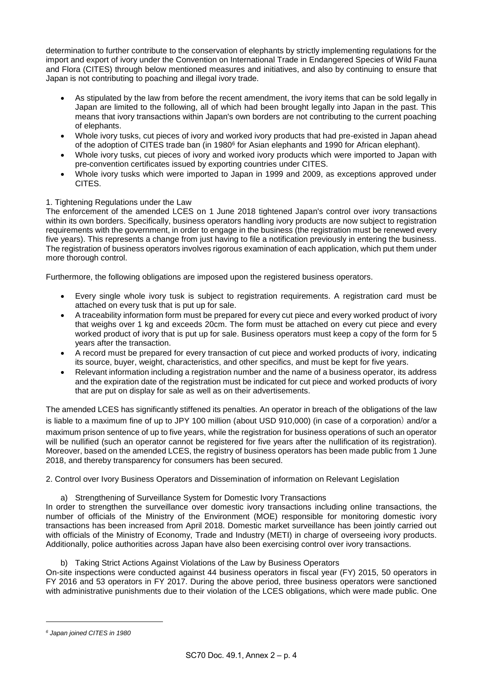determination to further contribute to the conservation of elephants by strictly implementing regulations for the import and export of ivory under the Convention on International Trade in Endangered Species of Wild Fauna and Flora (CITES) through below mentioned measures and initiatives, and also by continuing to ensure that Japan is not contributing to poaching and illegal ivory trade.

- As stipulated by the law from before the recent amendment, the ivory items that can be sold legally in Japan are limited to the following, all of which had been brought legally into Japan in the past. This means that ivory transactions within Japan's own borders are not contributing to the current poaching of elephants.
- Whole ivory tusks, cut pieces of ivory and worked ivory products that had pre-existed in Japan ahead of the adoption of CITES trade ban (in 1980<sup>6</sup> for Asian elephants and 1990 for African elephant).
- Whole ivory tusks, cut pieces of ivory and worked ivory products which were imported to Japan with pre-convention certificates issued by exporting countries under CITES.
- Whole ivory tusks which were imported to Japan in 1999 and 2009, as exceptions approved under CITES.

# 1. Tightening Regulations under the Law

The enforcement of the amended LCES on 1 June 2018 tightened Japan's control over ivory transactions within its own borders. Specifically, business operators handling ivory products are now subject to registration requirements with the government, in order to engage in the business (the registration must be renewed every five years). This represents a change from just having to file a notification previously in entering the business. The registration of business operators involves rigorous examination of each application, which put them under more thorough control.

Furthermore, the following obligations are imposed upon the registered business operators.

- Every single whole ivory tusk is subject to registration requirements. A registration card must be attached on every tusk that is put up for sale.
- A traceability information form must be prepared for every cut piece and every worked product of ivory that weighs over 1 kg and exceeds 20cm. The form must be attached on every cut piece and every worked product of ivory that is put up for sale. Business operators must keep a copy of the form for 5 years after the transaction.
- A record must be prepared for every transaction of cut piece and worked products of ivory, indicating its source, buyer, weight, characteristics, and other specifics, and must be kept for five years.
- Relevant information including a registration number and the name of a business operator, its address and the expiration date of the registration must be indicated for cut piece and worked products of ivory that are put on display for sale as well as on their advertisements.

The amended LCES has significantly stiffened its penalties. An operator in breach of the obligations of the law is liable to a maximum fine of up to JPY 100 million (about USD 910,000) (in case of a corporation) and/or a maximum prison sentence of up to five years, while the registration for business operations of such an operator will be nullified (such an operator cannot be registered for five years after the nullification of its registration). Moreover, based on the amended LCES, the registry of business operators has been made public from 1 June 2018, and thereby transparency for consumers has been secured.

2. Control over Ivory Business Operators and Dissemination of information on Relevant Legislation

a) Strengthening of Surveillance System for Domestic Ivory Transactions

In order to strengthen the surveillance over domestic ivory transactions including online transactions, the number of officials of the Ministry of the Environment (MOE) responsible for monitoring domestic ivory transactions has been increased from April 2018. Domestic market surveillance has been jointly carried out with officials of the Ministry of Economy, Trade and Industry (METI) in charge of overseeing ivory products. Additionally, police authorities across Japan have also been exercising control over ivory transactions.

b) Taking Strict Actions Against Violations of the Law by Business Operators

On-site inspections were conducted against 44 business operators in fiscal year (FY) 2015, 50 operators in FY 2016 and 53 operators in FY 2017. During the above period, three business operators were sanctioned with administrative punishments due to their violation of the LCES obligations, which were made public. One

1

*<sup>6</sup> Japan joined CITES in 1980*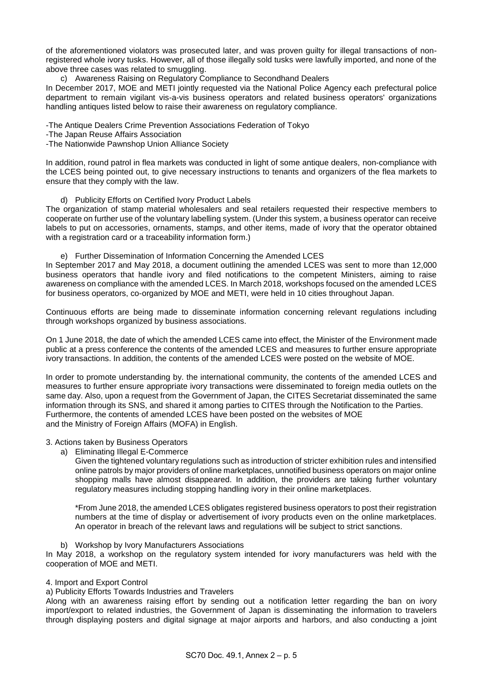of the aforementioned violators was prosecuted later, and was proven guilty for illegal transactions of nonregistered whole ivory tusks. However, all of those illegally sold tusks were lawfully imported, and none of the above three cases was related to smuggling.

c) Awareness Raising on Regulatory Compliance to Secondhand Dealers

In December 2017, MOE and METI jointly requested via the National Police Agency each prefectural police department to remain vigilant vis-a-vis business operators and related business operators' organizations handling antiques listed below to raise their awareness on regulatory compliance.

-The Antique Dealers Crime Prevention Associations Federation of Tokyo

-The Japan Reuse Affairs Association

-The Nationwide Pawnshop Union AlIiance Society

In addition, round patrol in flea markets was conducted in light of some antique dealers, non-compliance with the LCES being pointed out, to give necessary instructions to tenants and organizers of the flea markets to ensure that they comply with the law.

d) Publicity Efforts on Certified Ivory Product Labels

The organization of stamp material wholesalers and seal retailers requested their respective members to cooperate on further use of the voluntary labelling system. (Under this system, a business operator can receive labels to put on accessories, ornaments, stamps, and other items, made of ivory that the operator obtained with a registration card or a traceability information form.)

e) Further Dissemination of Information Concerning the Amended LCES

In September 2017 and May 2018, a document outlining the amended LCES was sent to more than 12,000 business operators that handle ivory and filed notifications to the competent Ministers, aiming to raise awareness on compliance with the amended LCES. In March 2018, workshops focused on the amended LCES for business operators, co-organized by MOE and METI, were held in 10 cities throughout Japan.

Continuous efforts are being made to disseminate information concerning relevant regulations including through workshops organized by business associations.

On 1 June 2018, the date of which the amended LCES came into effect, the Minister of the Environment made public at a press conference the contents of the amended LCES and measures to further ensure appropriate ivory transactions. In addition, the contents of the amended LCES were posted on the website of MOE.

In order to promote understanding by. the international community, the contents of the amended LCES and measures to further ensure appropriate ivory transactions were disseminated to foreign media outlets on the same day. Also, upon a request from the Government of Japan, the CITES Secretariat disseminated the same information through its SNS, and shared it among parties to CITES through the Notification to the Parties. Furthermore, the contents of amended LCES have been posted on the websites of MOE and the Ministry of Foreign Affairs (MOFA) in English.

## 3. Actions taken by Business Operators

a) Eliminating Illegal E-Commerce

Given the tightened voluntary regulations such as introduction of stricter exhibition rules and intensified online patrols by major providers of online marketplaces, unnotified business operators on major online shopping malls have almost disappeared. In addition, the providers are taking further voluntary regulatory measures including stopping handling ivory in their online marketplaces.

\*From June 2018, the amended LCES obligates registered business operators to post their registration numbers at the time of display or advertisement of ivory products even on the online marketplaces. An operator in breach of the relevant laws and regulations will be subject to strict sanctions.

b) Workshop by Ivory Manufacturers Associations

In May 2018, a workshop on the regulatory system intended for ivory manufacturers was held with the cooperation of MOE and METI.

#### 4. Import and Export Control

a) Publicity Efforts Towards Industries and Travelers

Along with an awareness raising effort by sending out a notification letter regarding the ban on ivory import/export to related industries, the Government of Japan is disseminating the information to travelers through displaying posters and digital signage at major airports and harbors, and also conducting a joint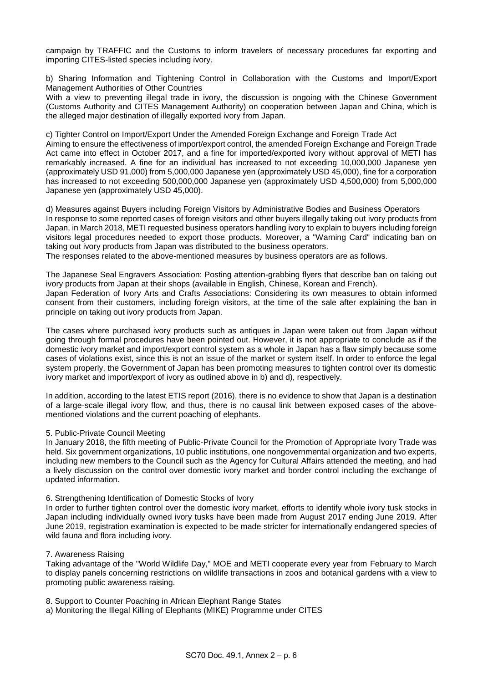campaign by TRAFFIC and the Customs to inform travelers of necessary procedures far exporting and importing CITES-listed species including ivory.

b) Sharing Information and Tightening Control in Collaboration with the Customs and Import/Export Management Authorities of Other Countries

With a view to preventing illegal trade in ivory, the discussion is ongoing with the Chinese Government (Customs Authority and CITES Management Authority) on cooperation between Japan and China, which is the alleged major destination of illegally exported ivory from Japan.

c) Tighter Control on Import/Export Under the Amended Foreign Exchange and Foreign Trade Act Aiming to ensure the effectiveness of import/export control, the amended Foreign Exchange and Foreign Trade Act came into effect in October 2017, and a fine for imported/exported ivory without approval of METI has remarkably increased. A fine for an individual has increased to not exceeding 10,000,000 Japanese yen (approximately USD 91,000) from 5,000,000 Japanese yen (approximately USD 45,000), fine for a corporation has increased to not exceeding 500,000,000 Japanese yen (approximately USD 4,500,000) from 5,000,000 Japanese yen (approximately USD 45,000).

d) Measures against Buyers including Foreign Visitors by Administrative Bodies and Business Operators In response to some reported cases of foreign visitors and other buyers illegally taking out ivory products from Japan, in March 2018, METI requested business operators handling ivory to explain to buyers including foreign visitors legal procedures needed to export those products. Moreover, a "Warning Card" indicating ban on taking out ivory products from Japan was distributed to the business operators.

The responses related to the above-mentioned measures by business operators are as follows.

The Japanese Seal Engravers Association: Posting attention-grabbing flyers that describe ban on taking out ivory products from Japan at their shops (available in English, Chinese, Korean and French). Japan Federation of Ivory Arts and Crafts Associations: Considering its own measures to obtain informed consent from their customers, including foreign visitors, at the time of the sale after explaining the ban in principle on taking out ivory products from Japan.

The cases where purchased ivory products such as antiques in Japan were taken out from Japan without going through formal procedures have been pointed out. However, it is not appropriate to conclude as if the domestic ivory market and import/export control system as a whole in Japan has a flaw simply because some cases of violations exist, since this is not an issue of the market or system itself. In order to enforce the legal system properly, the Government of Japan has been promoting measures to tighten control over its domestic ivory market and import/export of ivory as outlined above in b) and d), respectively.

In addition, according to the latest ETIS report (2016), there is no evidence to show that Japan is a destination of a large-scale illegal ivory flow, and thus, there is no causal link between exposed cases of the abovementioned violations and the current poaching of elephants.

#### 5. Public-Private Council Meeting

In January 2018, the fifth meeting of Public-Private Council for the Promotion of Appropriate Ivory Trade was held. Six government organizations, 10 public institutions, one nongovernmental organization and two experts, including new members to the Council such as the Agency for Cultural Affairs attended the meeting, and had a lively discussion on the control over domestic ivory market and border control including the exchange of updated information.

6. Strengthening Identification of Domestic Stocks of Ivory

In order to further tighten control over the domestic ivory market, efforts to identify whole ivory tusk stocks in Japan including individually owned ivory tusks have been made from August 2017 ending June 2019. After June 2019, registration examination is expected to be made stricter for internationally endangered species of wild fauna and flora including ivory.

#### 7. Awareness Raising

Taking advantage of the "World Wildlife Day," MOE and METI cooperate every year from February to March to display panels concerning restrictions on wildlife transactions in zoos and botanical gardens with a view to promoting public awareness raising.

8. Support to Counter Poaching in African Elephant Range States

a) Monitoring the Illegal Killing of Elephants (MIKE) Programme under CITES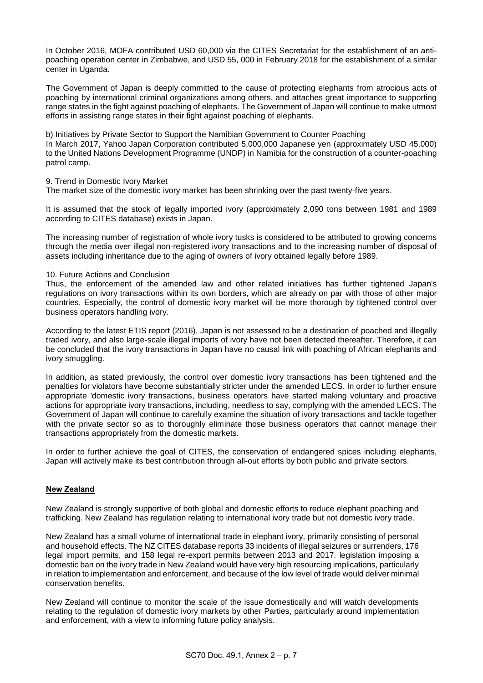In October 2016, MOFA contributed USD 60,000 via the CITES Secretariat for the establishment of an antipoaching operation center in Zimbabwe, and USD 55, 000 in February 2018 for the establishment of a similar center in Uganda.

The Government of Japan is deeply committed to the cause of protecting elephants from atrocious acts of poaching by international criminal organizations among others, and attaches great importance to supporting range states in the fight against poaching of elephants. The Government of Japan will continue to make utmost efforts in assisting range states in their fight against poaching of elephants.

b) Initiatives by Private Sector to Support the Namibian Government to Counter Poaching In March 2017, Yahoo Japan Corporation contributed 5,000,000 Japanese yen (approximately USD 45,000) to the United Nations Development Programme (UNDP) in Namibia for the construction of a counter-poaching patrol camp.

9. Trend in Domestic Ivory Market

The market size of the domestic ivory market has been shrinking over the past twenty-five years.

It is assumed that the stock of legally imported ivory (approximately 2,090 tons between 1981 and 1989 according to CITES database) exists in Japan.

The increasing number of registration of whole ivory tusks is considered to be attributed to growing concerns through the media over illegal non-registered ivory transactions and to the increasing number of disposal of assets including inheritance due to the aging of owners of ivory obtained legally before 1989.

## 10. Future Actions and Conclusion

Thus, the enforcement of the amended law and other related initiatives has further tightened Japan's regulations on ivory transactions within its own borders, which are already on par with those of other major countries. Especially, the control of domestic ivory market will be more thorough by tightened control over business operators handling ivory.

According to the latest ETIS report (2016), Japan is not assessed to be a destination of poached and illegally traded ivory, and also large-scale illegal imports of ivory have not been detected thereafter. Therefore, it can be concluded that the ivory transactions in Japan have no causal link with poaching of African elephants and ivory smuggling.

In addition, as stated previously, the control over domestic ivory transactions has been tightened and the penalties for violators have become substantially stricter under the amended LECS. In order to further ensure appropriate 'domestic ivory transactions, business operators have started making voluntary and proactive actions for appropriate ivory transactions, including, needless to say, complying with the amended LECS. The Government of Japan will continue to carefully examine the situation of ivory transactions and tackle together with the private sector so as to thoroughly eliminate those business operators that cannot manage their transactions appropriately from the domestic markets.

In order to further achieve the goal of CITES, the conservation of endangered spices including elephants, Japan will actively make its best contribution through all-out efforts by both public and private sectors.

## **New Zealand**

New Zealand is strongly supportive of both global and domestic efforts to reduce elephant poaching and trafficking. New Zealand has regulation relating to international ivory trade but not domestic ivory trade.

New Zealand has a small volume of international trade in elephant ivory, primarily consisting of personal and household effects. The NZ CITES database reports 33 incidents of illegal seizures or surrenders, 176 legal import permits, and 158 legal re-export permits between 2013 and 2017. legislation imposing a domestic ban on the ivory trade in New Zealand would have very high resourcing implications, particularly in relation to implementation and enforcement, and because of the low level of trade would deliver minimal conservation benefits.

New Zealand will continue to monitor the scale of the issue domestically and will watch developments relating to the regulation of domestic ivory markets by other Parties, particularly around implementation and enforcement, with a view to informing future policy analysis.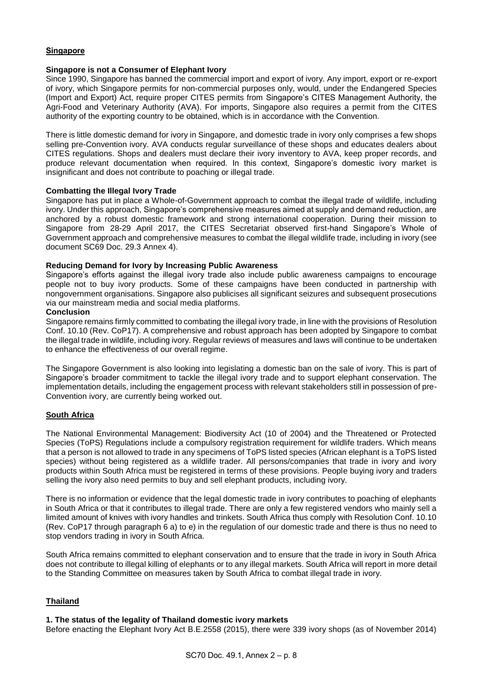## **Singapore**

### **Singapore is not a Consumer of Elephant Ivory**

Since 1990, Singapore has banned the commercial import and export of ivory. Any import, export or re-export of ivory, which Singapore permits for non-commercial purposes only, would, under the Endangered Species (Import and Export) Act, require proper CITES permits from Singapore's CITES Management Authority, the Agri-Food and Veterinary Authority (AVA). For imports, Singapore also requires a permit from the CITES authority of the exporting country to be obtained, which is in accordance with the Convention.

There is little domestic demand for ivory in Singapore, and domestic trade in ivory only comprises a few shops selling pre-Convention ivory. AVA conducts regular surveillance of these shops and educates dealers about CITES regulations. Shops and dealers must declare their ivory inventory to AVA, keep proper records, and produce relevant documentation when required. In this context, Singapore's domestic ivory market is insignificant and does not contribute to poaching or illegal trade.

## **Combatting the Illegal Ivory Trade**

Singapore has put in place a Whole-of-Government approach to combat the illegal trade of wildlife, including ivory. Under this approach, Singapore's comprehensive measures aimed at supply and demand reduction, are anchored by a robust domestic framework and strong international cooperation. During their mission to Singapore from 28-29 April 2017, the CITES Secretariat observed first-hand Singapore's Whole of Government approach and comprehensive measures to combat the illegal wildlife trade, including in ivory (see document SC69 Doc. 29.3 Annex 4).

## **Reducing Demand for Ivory by Increasing Public Awareness**

Singapore's efforts against the illegal ivory trade also include public awareness campaigns to encourage people not to buy ivory products. Some of these campaigns have been conducted in partnership with nongovernment organisations. Singapore also publicises all significant seizures and subsequent prosecutions via our mainstream media and social media platforms.

#### **Conclusion**

Singapore remains firmly committed to combating the illegal ivory trade, in line with the provisions of Resolution Conf. 10.10 (Rev. CoP17). A comprehensive and robust approach has been adopted by Singapore to combat the illegal trade in wildlife, including ivory. Regular reviews of measures and laws will continue to be undertaken to enhance the effectiveness of our overall regime.

The Singapore Government is also looking into legislating a domestic ban on the sale of ivory. This is part of Singapore's broader commitment to tackle the illegal ivory trade and to support elephant conservation. The implementation details, including the engagement process with relevant stakeholders still in possession of pre-Convention ivory, are currently being worked out.

## **South Africa**

The National Environmental Management: Biodiversity Act (10 of 2004) and the Threatened or Protected Species (ToPS) Regulations include a compulsory registration requirement for wildlife traders. Which means that a person is not allowed to trade in any specimens of ToPS listed species (African elephant is a ToPS listed species) without being registered as a wildlife trader. All persons/companies that trade in ivory and ivory products within South Africa must be registered in terms of these provisions. People buying ivory and traders selling the ivory also need permits to buy and sell elephant products, including ivory.

There is no information or evidence that the legal domestic trade in ivory contributes to poaching of elephants in South Africa or that it contributes to illegal trade. There are only a few registered vendors who mainly sell a limited amount of knives with ivory handles and trinkets. South Africa thus comply with Resolution Conf. 10.10 (Rev. CoP17 through paragraph 6 a) to e) in the regulation of our domestic trade and there is thus no need to stop vendors trading in ivory in South Africa.

South Africa remains committed to elephant conservation and to ensure that the trade in ivory in South Africa does not contribute to illegal killing of elephants or to any illegal markets. South Africa will report in more detail to the Standing Committee on measures taken by South Africa to combat illegal trade in ivory.

## **Thailand**

#### **1. The status of the legality of Thailand domestic ivory markets**

Before enacting the Elephant Ivory Act B.E.2558 (2015), there were 339 ivory shops (as of November 2014)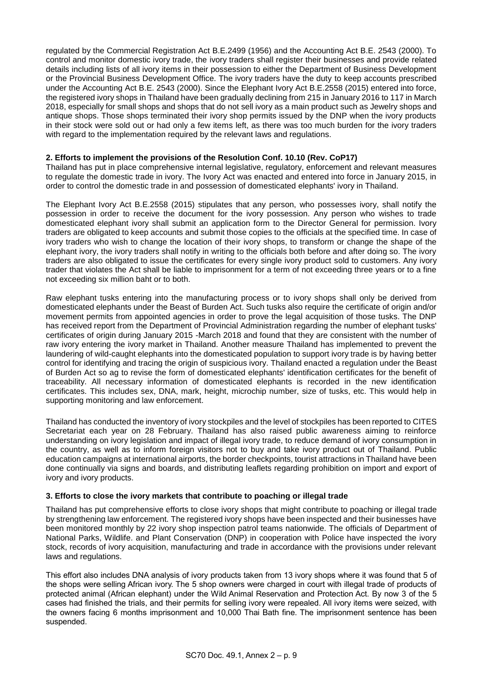regulated by the Commercial Registration Act B.E.2499 (1956) and the Accounting Act B.E. 2543 (2000). To control and monitor domestic ivory trade, the ivory traders shall register their businesses and provide related details including lists of all ivory items in their possession to either the Department of Business Development or the Provincial Business Development Office. The ivory traders have the duty to keep accounts prescribed under the Accounting Act B.E. 2543 (2000). Since the Elephant Ivory Act B.E.2558 (2015) entered into force, the registered ivory shops in Thailand have been gradually declining from 215 in January 2016 to 117 in March 2018, especially for small shops and shops that do not sell ivory as a main product such as Jewelry shops and antique shops. Those shops terminated their ivory shop permits issued by the DNP when the ivory products in their stock were sold out or had only a few items left, as there was too much burden for the ivory traders with regard to the implementation required by the relevant laws and regulations.

## **2. Efforts to implement the provisions of the Resolution Conf. 10.10 (Rev. CoP17)**

Thailand has put in place comprehensive internal legislative, regulatory, enforcement and relevant measures to regulate the domestic trade in ivory. The Ivory Act was enacted and entered into force in January 2015, in order to control the domestic trade in and possession of domesticated elephants' ivory in Thailand.

The Elephant Ivory Act B.E.2558 (2015) stipulates that any person, who possesses ivory, shall notify the possession in order to receive the document for the ivory possession. Any person who wishes to trade domesticated elephant ivory shall submit an application form to the Director General for permission. Ivory traders are obligated to keep accounts and submit those copies to the officials at the specified time. In case of ivory traders who wish to change the location of their ivory shops, to transform or change the shape of the elephant ivory, the ivory traders shall notify in writing to the officials both before and after doing so. The ivory traders are also obligated to issue the certificates for every single ivory product sold to customers. Any ivory trader that violates the Act shall be liable to imprisonment for a term of not exceeding three years or to a fine not exceeding six million baht or to both.

Raw elephant tusks entering into the manufacturing process or to ivory shops shall only be derived from domesticated elephants under the Beast of Burden Act. Such tusks also require the certificate of origin and/or movement permits from appointed agencies in order to prove the legal acquisition of those tusks. The DNP has received report from the Department of Provincial Administration regarding the number of elephant tusks' certificates of origin during January 2015 -March 2018 and found that they are consistent with the number of raw ivory entering the ivory market in Thailand. Another measure Thailand has implemented to prevent the laundering of wild-caught elephants into the domesticated population to support ivory trade is by having better control for identifying and tracing the origin of suspicious ivory. Thailand enacted a regulation under the Beast of Burden Act so ag to revise the form of domesticated elephants' identification certificates for the benefit of traceability. All necessary information of domesticated elephants is recorded in the new identification certificates. This includes sex, DNA, mark, height, microchip number, size of tusks, etc. This would help in supporting monitoring and law enforcement.

Thailand has conducted the inventory of ivory stockpiles and the level of stockpiles has been reported to CITES Secretariat each year on 28 February. Thailand has also raised public awareness aiming to reinforce understanding on ivory legislation and impact of illegal ivory trade, to reduce demand of ivory consumption in the country, as well as to inform foreign visitors not to buy and take ivory product out of Thailand. Public education campaigns at international airports, the border checkpoints, tourist attractions in Thailand have been done continually via signs and boards, and distributing leaflets regarding prohibition on import and export of ivory and ivory products.

#### **3. Efforts to close the ivory markets that contribute to poaching or illegal trade**

Thailand has put comprehensive efforts to close ivory shops that might contribute to poaching or illegal trade by strengthening law enforcement. The registered ivory shops have been inspected and their businesses have been monitored monthly by 22 ivory shop inspection patrol teams nationwide. The officials of Department of National Parks, Wildlife. and Plant Conservation (DNP) in cooperation with Police have inspected the ivory stock, records of ivory acquisition, manufacturing and trade in accordance with the provisions under relevant laws and regulations.

This effort also includes DNA analysis of ivory products taken from 13 ivory shops where it was found that 5 of the shops were selling African ivory. The 5 shop owners were charged in court with illegal trade of products of protected animal (African elephant) under the Wild Animal Reservation and Protection Act. By now 3 of the 5 cases had finished the trials, and their permits for selling ivory were repealed. All ivory items were seized, with the owners facing 6 months imprisonment and 10,000 Thai Bath fine. The imprisonment sentence has been suspended.